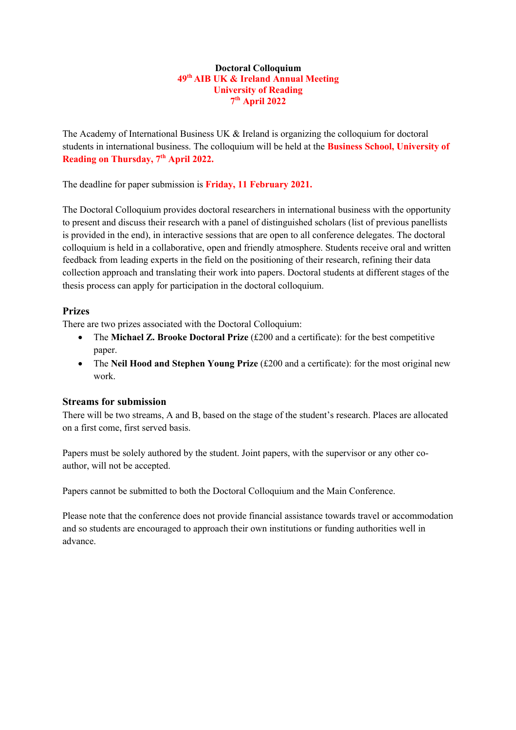# **Doctoral Colloquium 49th AIB UK & Ireland Annual Meeting University of Reading 7th April 2022**

The Academy of International Business UK & Ireland is organizing the colloquium for doctoral students in international business. The colloquium will be held at the **Business School, University of Reading on Thursday, 7th April 2022.**

The deadline for paper submission is **Friday, 11 February 2021.**

The Doctoral Colloquium provides doctoral researchers in international business with the opportunity to present and discuss their research with a panel of distinguished scholars (list of previous panellists is provided in the end), in interactive sessions that are open to all conference delegates. The doctoral colloquium is held in a collaborative, open and friendly atmosphere. Students receive oral and written feedback from leading experts in the field on the positioning of their research, refining their data collection approach and translating their work into papers. Doctoral students at different stages of the thesis process can apply for participation in the doctoral colloquium.

# **Prizes**

There are two prizes associated with the Doctoral Colloquium:

- The **Michael Z. Brooke Doctoral Prize** (£200 and a certificate): for the best competitive paper.
- The **Neil Hood and Stephen Young Prize** (£200 and a certificate): for the most original new work.

# **Streams for submission**

There will be two streams, A and B, based on the stage of the student's research. Places are allocated on a first come, first served basis.

Papers must be solely authored by the student. Joint papers, with the supervisor or any other coauthor, will not be accepted.

Papers cannot be submitted to both the Doctoral Colloquium and the Main Conference.

Please note that the conference does not provide financial assistance towards travel or accommodation and so students are encouraged to approach their own institutions or funding authorities well in advance.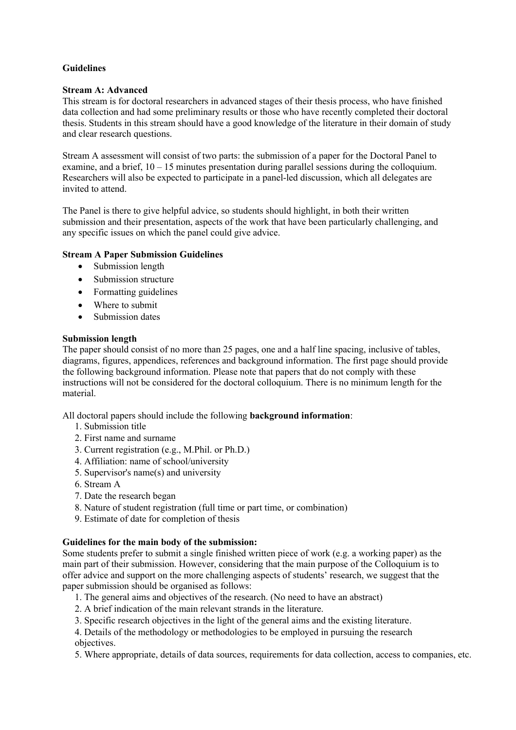# **Guidelines**

## **Stream A: Advanced**

This stream is for doctoral researchers in advanced stages of their thesis process, who have finished data collection and had some preliminary results or those who have recently completed their doctoral thesis. Students in this stream should have a good knowledge of the literature in their domain of study and clear research questions.

Stream A assessment will consist of two parts: the submission of a paper for the Doctoral Panel to examine, and a brief, 10 – 15 minutes presentation during parallel sessions during the colloquium. Researchers will also be expected to participate in a panel-led discussion, which all delegates are invited to attend.

The Panel is there to give helpful advice, so students should highlight, in both their written submission and their presentation, aspects of the work that have been particularly challenging, and any specific issues on which the panel could give advice.

# **Stream A Paper Submission Guidelines**

- Submission length
- Submission structure
- Formatting guidelines
- Where to submit
- Submission dates

#### **Submission length**

The paper should consist of no more than 25 pages, one and a half line spacing, inclusive of tables, diagrams, figures, appendices, references and background information. The first page should provide the following background information. Please note that papers that do not comply with these instructions will not be considered for the doctoral colloquium. There is no minimum length for the material.

All doctoral papers should include the following **background information**:

- 1. Submission title
- 2. First name and surname
- 3. Current registration (e.g., M.Phil. or Ph.D.)
- 4. Affiliation: name of school/university
- 5. Supervisor's name(s) and university
- 6. Stream A
- 7. Date the research began
- 8. Nature of student registration (full time or part time, or combination)
- 9. Estimate of date for completion of thesis

# **Guidelines for the main body of the submission:**

Some students prefer to submit a single finished written piece of work (e.g. a working paper) as the main part of their submission. However, considering that the main purpose of the Colloquium is to offer advice and support on the more challenging aspects of students' research, we suggest that the paper submission should be organised as follows:

- 1. The general aims and objectives of the research. (No need to have an abstract)
- 2. A brief indication of the main relevant strands in the literature.
- 3. Specific research objectives in the light of the general aims and the existing literature.
- 4. Details of the methodology or methodologies to be employed in pursuing the research objectives.
- 5. Where appropriate, details of data sources, requirements for data collection, access to companies, etc.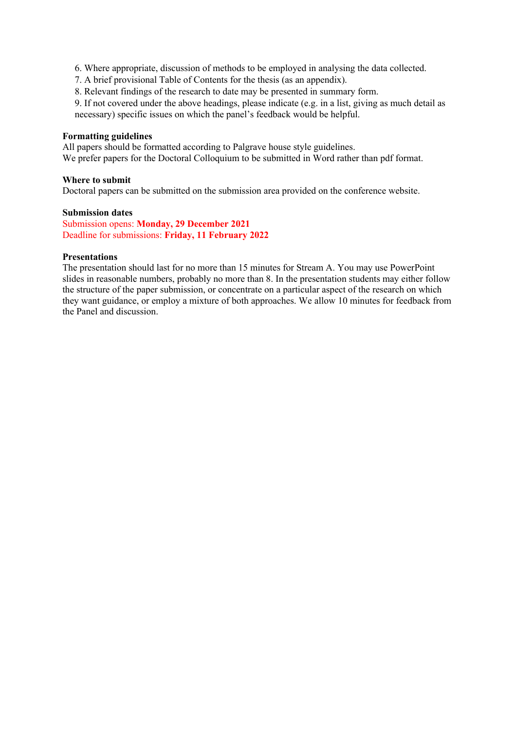- 6. Where appropriate, discussion of methods to be employed in analysing the data collected.
- 7. A brief provisional Table of Contents for the thesis (as an appendix).
- 8. Relevant findings of the research to date may be presented in summary form.
- 9. If not covered under the above headings, please indicate (e.g. in a list, giving as much detail as necessary) specific issues on which the panel's feedback would be helpful.

#### **Formatting guidelines**

All papers should be formatted according to Palgrave house style guidelines. We prefer papers for the Doctoral Colloquium to be submitted in Word rather than pdf format.

#### **Where to submit**

Doctoral papers can be submitted on the submission area provided on the conference website.

### **Submission dates**

Submission opens: **Monday, 29 December 2021** Deadline for submissions: **Friday, 11 February 2022**

#### **Presentations**

The presentation should last for no more than 15 minutes for Stream A. You may use PowerPoint slides in reasonable numbers, probably no more than 8. In the presentation students may either follow the structure of the paper submission, or concentrate on a particular aspect of the research on which they want guidance, or employ a mixture of both approaches. We allow 10 minutes for feedback from the Panel and discussion.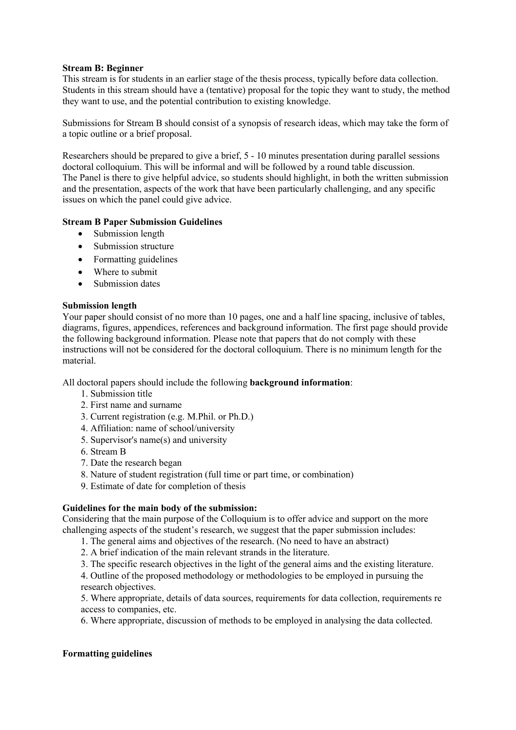# **Stream B: Beginner**

This stream is for students in an earlier stage of the thesis process, typically before data collection. Students in this stream should have a (tentative) proposal for the topic they want to study, the method they want to use, and the potential contribution to existing knowledge.

Submissions for Stream B should consist of a synopsis of research ideas, which may take the form of a topic outline or a brief proposal.

Researchers should be prepared to give a brief, 5 - 10 minutes presentation during parallel sessions doctoral colloquium. This will be informal and will be followed by a round table discussion. The Panel is there to give helpful advice, so students should highlight, in both the written submission and the presentation, aspects of the work that have been particularly challenging, and any specific issues on which the panel could give advice.

# **Stream B Paper Submission Guidelines**

- Submission length
- Submission structure
- Formatting guidelines
- Where to submit
- Submission dates

# **Submission length**

Your paper should consist of no more than 10 pages, one and a half line spacing, inclusive of tables, diagrams, figures, appendices, references and background information. The first page should provide the following background information. Please note that papers that do not comply with these instructions will not be considered for the doctoral colloquium. There is no minimum length for the material.

All doctoral papers should include the following **background information**:

- 1. Submission title
- 2. First name and surname
- 3. Current registration (e.g. M.Phil. or Ph.D.)
- 4. Affiliation: name of school/university
- 5. Supervisor's name(s) and university
- 6. Stream B
- 7. Date the research began
- 8. Nature of student registration (full time or part time, or combination)
- 9. Estimate of date for completion of thesis

# **Guidelines for the main body of the submission:**

Considering that the main purpose of the Colloquium is to offer advice and support on the more challenging aspects of the student's research, we suggest that the paper submission includes:

- 1. The general aims and objectives of the research. (No need to have an abstract)
- 2. A brief indication of the main relevant strands in the literature.
- 3. The specific research objectives in the light of the general aims and the existing literature.

4. Outline of the proposed methodology or methodologies to be employed in pursuing the research objectives.

5. Where appropriate, details of data sources, requirements for data collection, requirements re access to companies, etc.

6. Where appropriate, discussion of methods to be employed in analysing the data collected.

# **Formatting guidelines**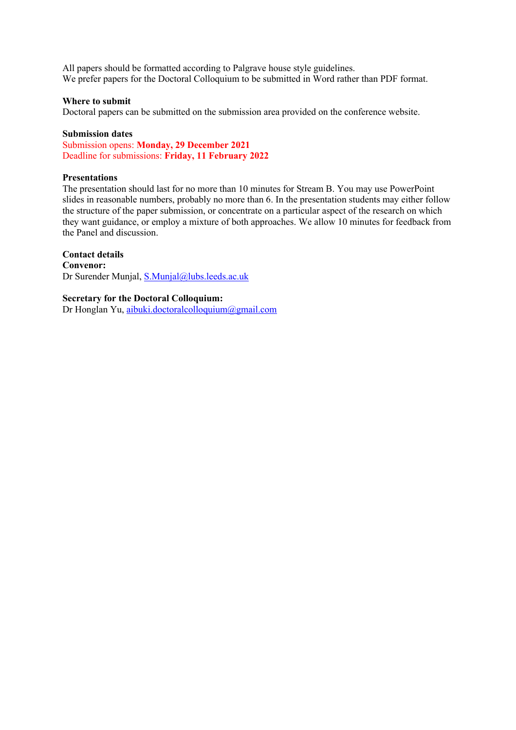All papers should be formatted according to Palgrave house style guidelines. We prefer papers for the Doctoral Colloquium to be submitted in Word rather than PDF format.

#### **Where to submit**

Doctoral papers can be submitted on the submission area provided on the conference website.

#### **Submission dates**

Submission opens: **Monday, 29 December 2021** Deadline for submissions: **Friday, 11 February 2022**

### **Presentations**

The presentation should last for no more than 10 minutes for Stream B. You may use PowerPoint slides in reasonable numbers, probably no more than 6. In the presentation students may either follow the structure of the paper submission, or concentrate on a particular aspect of the research on which they want guidance, or employ a mixture of both approaches. We allow 10 minutes for feedback from the Panel and discussion.

# **Contact details**

**Convenor:**  Dr Surender Munjal, S.Munjal@lubs.leeds.ac.uk

# **Secretary for the Doctoral Colloquium:**

Dr Honglan Yu, aibuki.doctoralcolloquium@gmail.com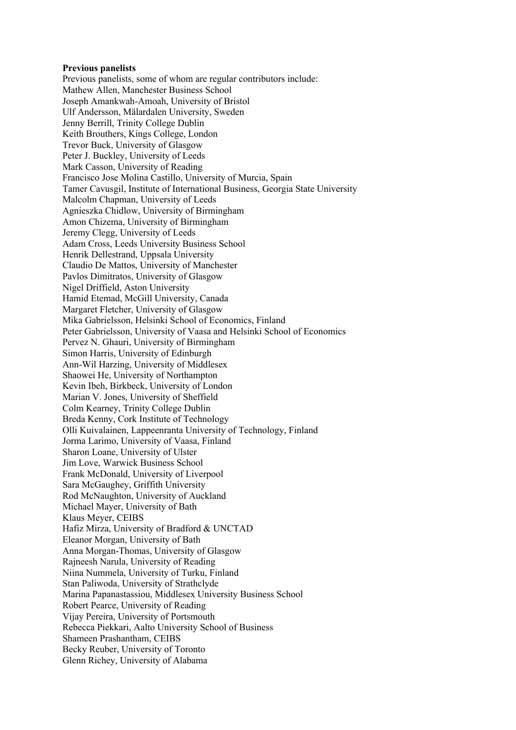#### **Previous panelists**

Previous panelists, some of whom are regular contributors include: Mathew Allen, Manchester Business School Joseph Amankwah-Amoah, University of Bristol Ulf Andersson, Mälardalen University, Sweden Jenny Berrill, Trinity College Dublin Keith Brouthers, Kings College, London Trevor Buck, University of Glasgow Peter J. Buckley, University of Leeds Mark Casson, University of Reading Francisco Jose Molina Castillo, University of Murcia, Spain Tamer Cavusgil, Institute of International Business, Georgia State University Malcolm Chapman, University of Leeds Agnieszka Chidlow, University of Birmingham Amon Chizema, University of Birmingham Jeremy Clegg, University of Leeds Adam Cross, Leeds University Business School Henrik Dellestrand, Uppsala University Claudio De Mattos, University of Manchester Pavlos Dimitratos, University of Glasgow Nigel Driffield, Aston University Hamid Etemad, McGill University, Canada Margaret Fletcher, University of Glasgow Mika Gabrielsson, Helsinki School of Economics, Finland Peter Gabrielsson, University of Vaasa and Helsinki School of Economics Pervez N. Ghauri, University of Birmingham Simon Harris, University of Edinburgh Ann-Wil Harzing, University of Middlesex Shaowei He, University of Northampton Kevin Ibeh, Birkbeck, University of London Marian V. Jones, University of Sheffield Colm Kearney, Trinity College Dublin Breda Kenny, Cork Institute of Technology Olli Kuivalainen, Lappeenranta University of Technology, Finland Jorma Larimo, University of Vaasa, Finland Sharon Loane, University of Ulster Jim Love, Warwick Business School Frank McDonald, University of Liverpool Sara McGaughey, Griffith University Rod McNaughton, University of Auckland Michael Mayer, University of Bath Klaus Meyer, CEIBS Hafiz Mirza, University of Bradford & UNCTAD Eleanor Morgan, University of Bath Anna Morgan-Thomas, University of Glasgow Rajneesh Narula, University of Reading Niina Nummela, University of Turku, Finland Stan Paliwoda, University of Strathclyde Marina Papanastassiou, Middlesex University Business School Robert Pearce, University of Reading Vijay Pereira, University of Portsmouth Rebecca Piekkari, Aalto University School of Business Shameen Prashantham, CEIBS Becky Reuber, University of Toronto Glenn Richey, University of Alabama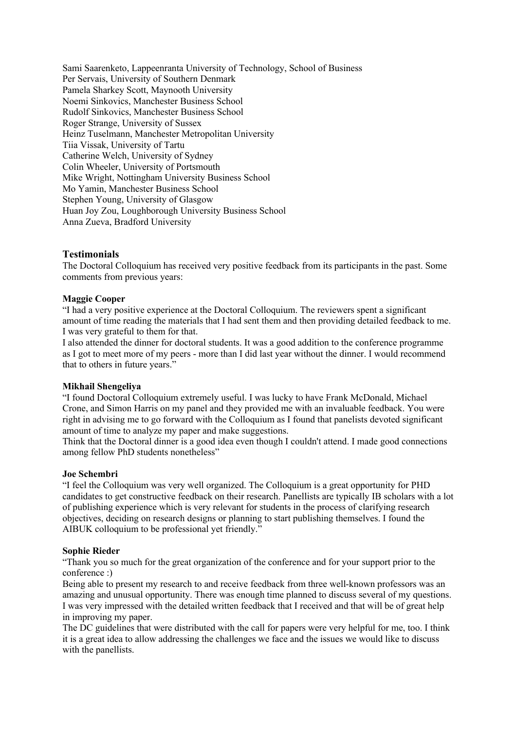Sami Saarenketo, Lappeenranta University of Technology, School of Business Per Servais, University of Southern Denmark Pamela Sharkey Scott, Maynooth University Noemi Sinkovics, Manchester Business School Rudolf Sinkovics, Manchester Business School Roger Strange, University of Sussex Heinz Tuselmann, Manchester Metropolitan University Tiia Vissak, University of Tartu Catherine Welch, University of Sydney Colin Wheeler, University of Portsmouth Mike Wright, Nottingham University Business School Mo Yamin, Manchester Business School Stephen Young, University of Glasgow Huan Joy Zou, Loughborough University Business School Anna Zueva, Bradford University

# **Testimonials**

The Doctoral Colloquium has received very positive feedback from its participants in the past. Some comments from previous years:

#### **Maggie Cooper**

"I had a very positive experience at the Doctoral Colloquium. The reviewers spent a significant amount of time reading the materials that I had sent them and then providing detailed feedback to me. I was very grateful to them for that.

I also attended the dinner for doctoral students. It was a good addition to the conference programme as I got to meet more of my peers - more than I did last year without the dinner. I would recommend that to others in future years."

#### **Mikhail Shengeliya**

"I found Doctoral Colloquium extremely useful. I was lucky to have Frank McDonald, Michael Crone, and Simon Harris on my panel and they provided me with an invaluable feedback. You were right in advising me to go forward with the Colloquium as I found that panelists devoted significant amount of time to analyze my paper and make suggestions.

Think that the Doctoral dinner is a good idea even though I couldn't attend. I made good connections among fellow PhD students nonetheless"

#### **Joe Schembri**

"I feel the Colloquium was very well organized. The Colloquium is a great opportunity for PHD candidates to get constructive feedback on their research. Panellists are typically IB scholars with a lot of publishing experience which is very relevant for students in the process of clarifying research objectives, deciding on research designs or planning to start publishing themselves. I found the AIBUK colloquium to be professional yet friendly."

## **Sophie Rieder**

"Thank you so much for the great organization of the conference and for your support prior to the conference :)

Being able to present my research to and receive feedback from three well-known professors was an amazing and unusual opportunity. There was enough time planned to discuss several of my questions. I was very impressed with the detailed written feedback that I received and that will be of great help in improving my paper.

The DC guidelines that were distributed with the call for papers were very helpful for me, too. I think it is a great idea to allow addressing the challenges we face and the issues we would like to discuss with the panellists.